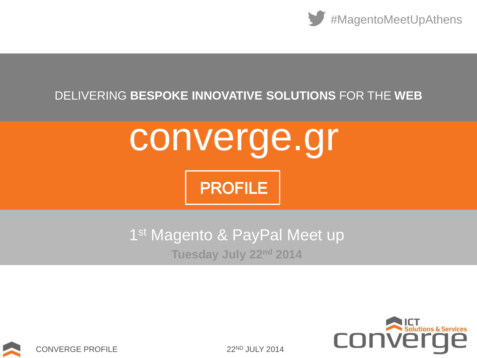

### DELIVERING **BESPOKE INNOVATIVE SOLUTIONS** FOR THE **WEB**

converge.gr

**PROFILE** 





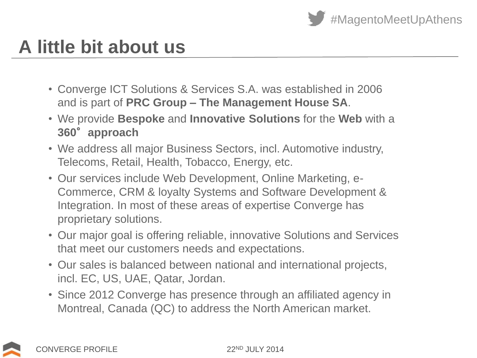

## **A little bit about us**

- Converge ICT Solutions & Services S.A. was established in 2006 and is part of **PRC Group – The Management House SA**.
- We provide **Bespoke** and **Innovative Solutions** for the **Web** with a **360**°**approach**
- We address all major Business Sectors, incl. Automotive industry, Telecoms, Retail, Health, Tobacco, Energy, etc.
- Our services include Web Development, Online Marketing, e-Commerce, CRM & loyalty Systems and Software Development & Integration. In most of these areas of expertise Converge has proprietary solutions.
- Our major goal is offering reliable, innovative Solutions and Services that meet our customers needs and expectations.
- Our sales is balanced between national and international projects, incl. EC, US, UAE, Qatar, Jordan.
- Since 2012 Converge has presence through an affiliated agency in Montreal, Canada (QC) to address the North American market.

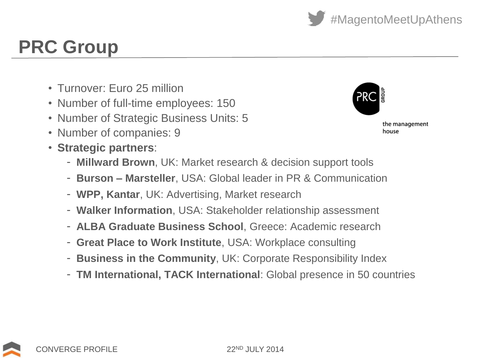CONVERGE PROFILE 22ND JULY 2014

# **PRC Group**

- Turnover: Euro 25 million
- Number of full-time employees: 150
- Number of Strategic Business Units: 5
- Number of companies: 9
- **Strategic partners**:
	- **Millward Brown**, UK: Market research & decision support tools
	- **Burson – Marsteller**, USA: Global leader in PR & Communication
	- **WPP, Kantar**, UK: Advertising, Market research
	- **Walker Information**, USA: Stakeholder relationship assessment
	- **ALBA Graduate Business School**, Greece: Academic research
	- **Great Place to Work Institute**, USA: Workplace consulting
	- **Business in the Community**, UK: Corporate Responsibility Index
	- **TM International, TACK International**: Global presence in 50 countries

the management house



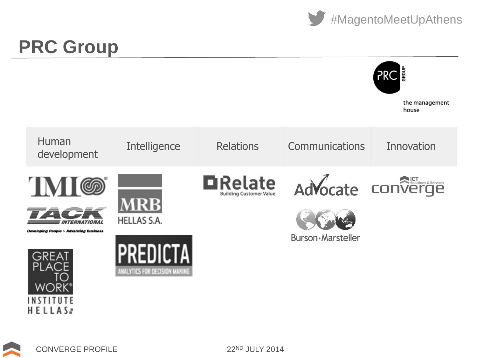



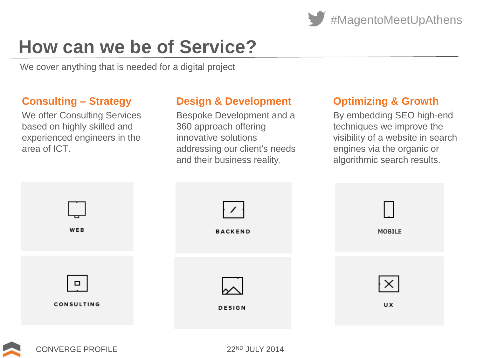

# **How can we be of Service?**

We cover anything that is needed for a digital project

#### **Consulting – Strategy**

We offer Consulting Services based on highly skilled and experienced engineers in the area of ICT.

#### **Design & Development**

Bespoke Development and a 360 approach offering innovative solutions addressing our client's needs and their business reality.

#### **Optimizing & Growth**

By embedding SEO high-end techniques we improve the visibility of a website in search engines via the organic or algorithmic search results.



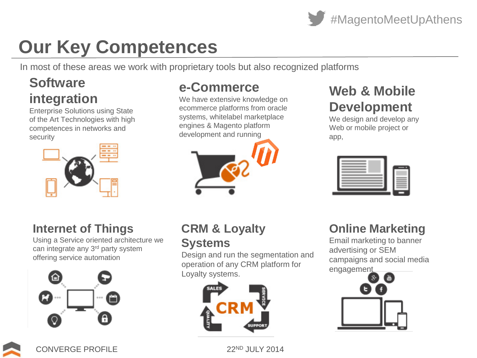

# **Our Key Competences**

In most of these areas we work with proprietary tools but also recognized platforms

### **Software integration**

Enterprise Solutions using State of the Art Technologies with high competences in networks and security



### **Internet of Things**

Using a Service oriented architecture we can integrate any 3<sup>rd</sup> party system offering service automation



### **e-Commerce**

We have extensive knowledge on ecommerce platforms from oracle systems, whitelabel marketplace engines & Magento platform development and running



#### **CRM & Loyalty Systems**

Design and run the segmentation and operation of any CRM platform for Loyalty systems.



## **Web & Mobile Development**

We design and develop any Web or mobile project or app,



### **Online Marketing**

Email marketing to banner advertising or SEM campaigns and social media engagement



CONVERGE PROFILE 22ND JULY 2014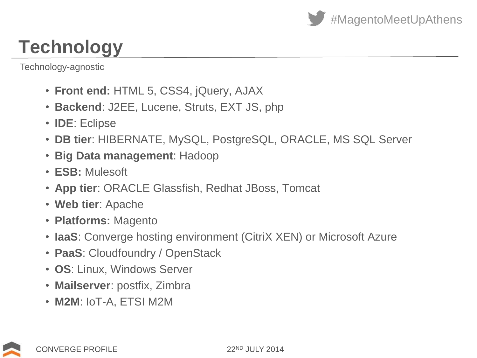

# **Technology**

Technology-agnostic

- **Front end:** HTML 5, CSS4, jQuery, AJAX
- **Backend**: J2EE, Lucene, Struts, EXT JS, php
- **IDE**: Eclipse
- **DB tier**: HIBERNATE, MySQL, PostgreSQL, ORACLE, MS SQL Server
- **Big Data management**: Hadoop
- **ESB:** Mulesoft
- **App tier**: ORACLE Glassfish, Redhat JBoss, Tomcat
- **Web tier**: Apache
- **Platforms:** Magento
- **IaaS**: Converge hosting environment (CitriX XEN) or Microsoft Azure
- **PaaS**: Cloudfoundry / OpenStack
- **OS**: Linux, Windows Server
- **Mailserver**: postfix, Zimbra
- **M2M**: IoT-A, ETSI M2M

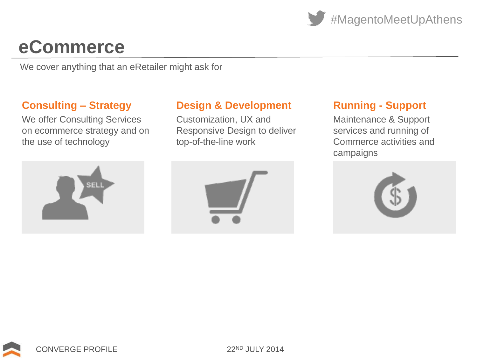

## **eCommerce**

We cover anything that an eRetailer might ask for

#### **Consulting – Strategy**

We offer Consulting Services on ecommerce strategy and on the use of technology



#### **Design & Development**

Customization, UX and Responsive Design to deliver top-of-the-line work



#### **Running - Support**

Maintenance & Support services and running of Commerce activities and campaigns



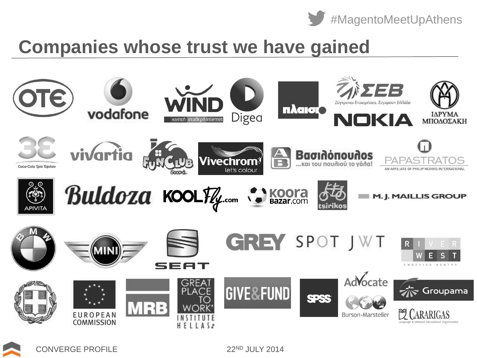

## **Companies whose trust we have gained**